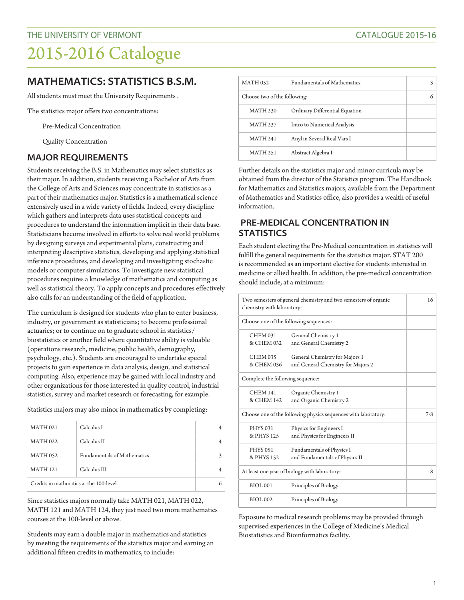## 2015-2016 Catalogue

### **MATHEMATICS: STATISTICS B.S.M.**

All students must meet the University Requirements .

The statistics major offers two concentrations:

Pre-Medical Concentration

Quality Concentration

#### **MAJOR REQUIREMENTS**

Students receiving the B.S. in Mathematics may select statistics as their major. In addition, students receiving a Bachelor of Arts from the College of Arts and Sciences may concentrate in statistics as a part of their mathematics major. Statistics is a mathematical science extensively used in a wide variety of fields. Indeed, every discipline which gathers and interprets data uses statistical concepts and procedures to understand the information implicit in their data base. Statisticians become involved in efforts to solve real world problems by designing surveys and experimental plans, constructing and interpreting descriptive statistics, developing and applying statistical inference procedures, and developing and investigating stochastic models or computer simulations. To investigate new statistical procedures requires a knowledge of mathematics and computing as well as statistical theory. To apply concepts and procedures effectively also calls for an understanding of the field of application.

The curriculum is designed for students who plan to enter business, industry, or government as statisticians; to become professional actuaries; or to continue on to graduate school in statistics/ biostatistics or another field where quantitative ability is valuable (operations research, medicine, public health, demography, psychology, etc.). Students are encouraged to undertake special projects to gain experience in data analysis, design, and statistical computing. Also, experience may be gained with local industry and other organizations for those interested in quality control, industrial statistics, survey and market research or forecasting, for example.

Statistics majors may also minor in mathematics by completing:

| <b>MATH 021</b>                        | Calculus I                         |  |
|----------------------------------------|------------------------------------|--|
| <b>MATH 022</b>                        | Calculus II                        |  |
| <b>MATH 052</b>                        | <b>Fundamentals of Mathematics</b> |  |
| <b>MATH 121</b>                        | Calculus III                       |  |
| Credits in mathmatics at the 100-level |                                    |  |

Since statistics majors normally take MATH 021, MATH 022, MATH 121 and MATH 124, they just need two more mathematics courses at the 100-level or above.

Students may earn a double major in mathematics and statistics by meeting the requirements of the statistics major and earning an additional fifteen credits in mathematics, to include:

| <b>MATH 052</b>              | <b>Fundamentals of Mathematics</b> |  |
|------------------------------|------------------------------------|--|
| Choose two of the following: |                                    |  |
| <b>MATH 230</b>              | Ordinary Differential Equation     |  |
| <b>MATH 237</b>              | Intro to Numerical Analysis        |  |
| <b>MATH 241</b>              | Anyl in Several Real Vars I        |  |
| <b>MATH 251</b>              | Abstract Algebra I                 |  |

Further details on the statistics major and minor curricula may be obtained from the director of the Statistics program. The Handbook for Mathematics and Statistics majors, available from the Department of Mathematics and Statistics office, also provides a wealth of useful information.

#### **PRE-MEDICAL CONCENTRATION IN STATISTICS**

Each student electing the Pre-Medical concentration in statistics will fulfill the general requirements for the statistics major. STAT 200 is recommended as an important elective for students interested in medicine or allied health. In addition, the pre-medical concentration should include, at a minimum:

| Two semesters of general chemistry and two semesters of organic<br>chemistry with laboratory: |                                                                      | 16    |
|-----------------------------------------------------------------------------------------------|----------------------------------------------------------------------|-------|
| Choose one of the following sequences:                                                        |                                                                      |       |
| <b>CHEM 031</b><br>& CHEM 032                                                                 | General Chemistry 1<br>and General Chemistry 2                       |       |
| <b>CHEM 035</b><br>& CHEM 036                                                                 | General Chemistry for Majors 1<br>and General Chemistry for Majors 2 |       |
| Complete the following sequence:                                                              |                                                                      |       |
| <b>CHEM 141</b><br>& CHEM 142                                                                 | Organic Chemistry 1<br>and Organic Chemistry 2                       |       |
| Choose one of the following physics sequences with laboratory:                                |                                                                      | $7-8$ |
| <b>PHYS 031</b><br>& PHYS 125                                                                 | Physics for Engineers I<br>and Physics for Engineers II              |       |
| <b>PHYS 051</b><br>& PHYS 152                                                                 | Fundamentals of Physics I<br>and Fundamentals of Physics II          |       |
| At least one year of biology with laboratory:                                                 |                                                                      | 8     |
| <b>BIOL001</b>                                                                                | Principles of Biology                                                |       |
| <b>BIOL002</b>                                                                                | Principles of Biology                                                |       |

Exposure to medical research problems may be provided through supervised experiences in the College of Medicine's Medical Biostatistics and Bioinformatics facility.